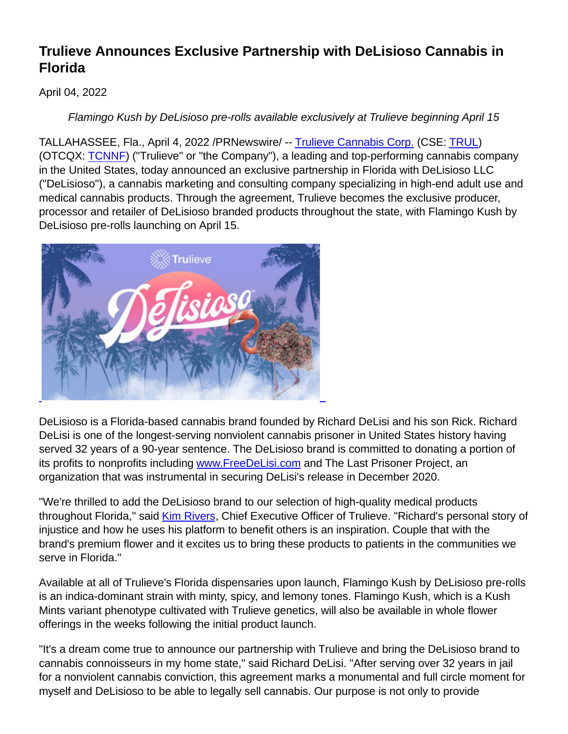## **Trulieve Announces Exclusive Partnership with DeLisioso Cannabis in Florida**

## April 04, 2022

Flamingo Kush by DeLisioso pre-rolls available exclusively at Trulieve beginning April 15

TALLAHASSEE, Fla., April 4, 2022 /PRNewswire/ -- [Trulieve Cannabis Corp.](https://c212.net/c/link/?t=0&l=en&o=3492441-1&h=2956243838&u=https%3A%2F%2Fwww.trulieve.com%2F&a=Trulieve+Cannabis+Corp.) (CSE: [TRUL\)](https://c212.net/c/link/?t=0&l=en&o=3492441-1&h=119301391&u=https%3A%2F%2Fc212.net%2Fc%2Flink%2F%3Ft%3D0%26l%3Den%26o%3D3462701-1%26h%3D666874696%26u%3Dhttps%253A%252F%252Fthecse.com%252Fen%252Flistings%252Flife-sciences%252Ftrulieve-cannabis-corp-subordinate-voting-shares%26a%3DTRUL&a=TRUL) (OTCQX: [TCNNF\)](https://c212.net/c/link/?t=0&l=en&o=3492441-1&h=2194711957&u=https%3A%2F%2Fc212.net%2Fc%2Flink%2F%3Ft%3D0%26l%3Den%26o%3D3462701-1%26h%3D4184361125%26u%3Dhttps%253A%252F%252Fwww.otcmarkets.com%252Fstock%252FTCNNF%252Foverview%26a%3DTCNNF&a=TCNNF) ("Trulieve" or "the Company"), a leading and top-performing cannabis company in the United States, today announced an exclusive partnership in Florida with DeLisioso LLC ("DeLisioso"), a cannabis marketing and consulting company specializing in high-end adult use and medical cannabis products. Through the agreement, Trulieve becomes the exclusive producer, processor and retailer of DeLisioso branded products throughout the state, with Flamingo Kush by DeLisioso pre-rolls launching on April 15.



DeLisioso is a Florida-based cannabis brand founded by Richard DeLisi and his son Rick. Richard DeLisi is one of the longest-serving nonviolent cannabis prisoner in United States history having served 32 years of a 90-year sentence. The DeLisioso brand is committed to donating a portion of its profits to nonprofits including [www.FreeDeLisi.com](https://c212.net/c/link/?t=0&l=en&o=3492441-1&h=186020960&u=http%3A%2F%2Fwww.freedelisi.com%2F&a=www.FreeDeLisi.com) and The Last Prisoner Project, an organization that was instrumental in securing DeLisi's release in December 2020.

"We're thrilled to add the DeLisioso brand to our selection of high-quality medical products throughout Florida," said [Kim Rivers,](https://c212.net/c/link/?t=0&l=en&o=3492441-1&h=4140565289&u=https%3A%2F%2Finvestors.trulieve.com%2Fcorporate-governance%2Fexecutive-team&a=Kim+Rivers) Chief Executive Officer of Trulieve. "Richard's personal story of injustice and how he uses his platform to benefit others is an inspiration. Couple that with the brand's premium flower and it excites us to bring these products to patients in the communities we serve in Florida."

Available at all of Trulieve's Florida dispensaries upon launch, Flamingo Kush by DeLisioso pre-rolls is an indica-dominant strain with minty, spicy, and lemony tones. Flamingo Kush, which is a Kush Mints variant phenotype cultivated with Trulieve genetics, will also be available in whole flower offerings in the weeks following the initial product launch.

"It's a dream come true to announce our partnership with Trulieve and bring the DeLisioso brand to cannabis connoisseurs in my home state," said Richard DeLisi. "After serving over 32 years in jail for a nonviolent cannabis conviction, this agreement marks a monumental and full circle moment for myself and DeLisioso to be able to legally sell cannabis. Our purpose is not only to provide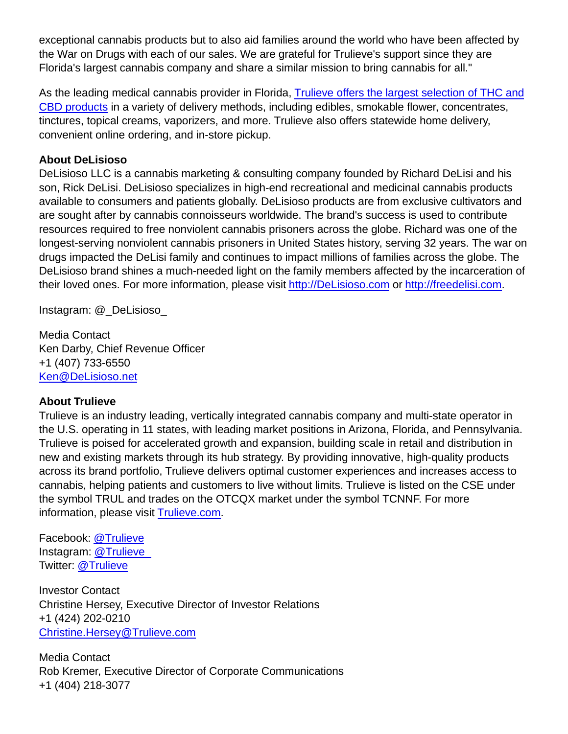exceptional cannabis products but to also aid families around the world who have been affected by the War on Drugs with each of our sales. We are grateful for Trulieve's support since they are Florida's largest cannabis company and share a similar mission to bring cannabis for all."

As the leading medical cannabis provider in Florida, [Trulieve offers the largest selection of THC and](https://c212.net/c/link/?t=0&l=en&o=3492441-1&h=4065317232&u=https%3A%2F%2Fwww.trulieve.com%2Fshop&a=Trulieve+offers+the+largest+selection+of+THC+and+CBD+products) CBD products in a variety of delivery methods, including edibles, smokable flower, concentrates, tinctures, topical creams, vaporizers, and more. Trulieve also offers statewide home delivery, convenient online ordering, and in-store pickup.

## **About DeLisioso**

DeLisioso LLC is a cannabis marketing & consulting company founded by Richard DeLisi and his son, Rick DeLisi. DeLisioso specializes in high-end recreational and medicinal cannabis products available to consumers and patients globally. DeLisioso products are from exclusive cultivators and are sought after by cannabis connoisseurs worldwide. The brand's success is used to contribute resources required to free nonviolent cannabis prisoners across the globe. Richard was one of the longest-serving nonviolent cannabis prisoners in United States history, serving 32 years. The war on drugs impacted the DeLisi family and continues to impact millions of families across the globe. The DeLisioso brand shines a much-needed light on the family members affected by the incarceration of their loved ones. For more information, please visit [http://DeLisioso.com](https://c212.net/c/link/?t=0&l=en&o=3492441-1&h=1908861203&u=http%3A%2F%2Fdelisioso.com%2F&a=http%3A%2F%2FDeLisioso.com) or [http://freedelisi.com.](https://c212.net/c/link/?t=0&l=en&o=3492441-1&h=3491578499&u=http%3A%2F%2Ffreedelisi.com%2F&a=http%3A%2F%2Ffreedelisi.com)

Instagram: @\_DeLisioso\_

Media Contact Ken Darby, Chief Revenue Officer +1 (407) 733-6550 [Ken@DeLisioso.net](mailto:Ken@DeLisioso.net)

## **About Trulieve**

Trulieve is an industry leading, vertically integrated cannabis company and multi-state operator in the U.S. operating in 11 states, with leading market positions in Arizona, Florida, and Pennsylvania. Trulieve is poised for accelerated growth and expansion, building scale in retail and distribution in new and existing markets through its hub strategy. By providing innovative, high-quality products across its brand portfolio, Trulieve delivers optimal customer experiences and increases access to cannabis, helping patients and customers to live without limits. Trulieve is listed on the CSE under the symbol TRUL and trades on the OTCQX market under the symbol TCNNF. For more information, please visit [Trulieve.com.](https://c212.net/c/link/?t=0&l=en&o=3492441-1&h=1064446145&u=https%3A%2F%2Fwww.trulieve.com%2F&a=Trulieve.com)

Facebook: [@Trulieve](https://c212.net/c/link/?t=0&l=en&o=3492441-1&h=858528581&u=https%3A%2F%2Fwww.facebook.com%2FTrulieve%2F&a=%40Trulieve) Instagram: [@Trulieve\\_](https://c212.net/c/link/?t=0&l=en&o=3492441-1&h=4142181293&u=https%3A%2F%2Fwww.instagram.com%2Ftrulieve_%2F%3Fhl%3Den&a=%40Trulieve_) Twitter: [@Trulieve](https://c212.net/c/link/?t=0&l=en&o=3492441-1&h=3694690596&u=https%3A%2F%2Ftwitter.com%2FTrulieve%3Fref_src%3Dtwsrc%255Egoogle%257Ctwcamp%255Eserp%257Ctwgr%255Eauthor&a=%40Trulieve)

Investor Contact Christine Hersey, Executive Director of Investor Relations +1 (424) 202-0210 [Christine.Hersey@Trulieve.com](mailto:Christine.Hersey@Trulieve.com)

Media Contact Rob Kremer, Executive Director of Corporate Communications +1 (404) 218-3077